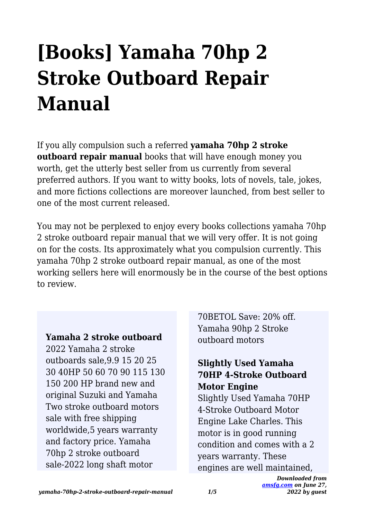# **[Books] Yamaha 70hp 2 Stroke Outboard Repair Manual**

If you ally compulsion such a referred **yamaha 70hp 2 stroke outboard repair manual** books that will have enough money you worth, get the utterly best seller from us currently from several preferred authors. If you want to witty books, lots of novels, tale, jokes, and more fictions collections are moreover launched, from best seller to one of the most current released.

You may not be perplexed to enjoy every books collections yamaha 70hp 2 stroke outboard repair manual that we will very offer. It is not going on for the costs. Its approximately what you compulsion currently. This yamaha 70hp 2 stroke outboard repair manual, as one of the most working sellers here will enormously be in the course of the best options to review.

#### **Yamaha 2 stroke outboard**

2022 Yamaha 2 stroke outboards sale,9.9 15 20 25 30 40HP 50 60 70 90 115 130 150 200 HP brand new and original Suzuki and Yamaha Two stroke outboard motors sale with free shipping worldwide,5 years warranty and factory price. Yamaha 70hp 2 stroke outboard sale-2022 long shaft motor

70BETOL Save: 20% off. Yamaha 90hp 2 Stroke outboard motors

## **Slightly Used Yamaha 70HP 4-Stroke Outboard Motor Engine**

Slightly Used Yamaha 70HP 4-Stroke Outboard Motor Engine Lake Charles. This motor is in good running condition and comes with a 2 years warranty. These engines are well maintained,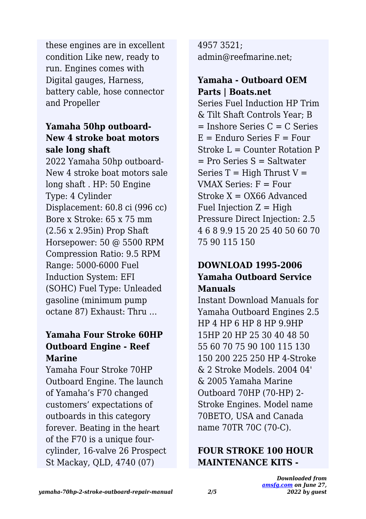these engines are in excellent condition Like new, ready to run. Engines comes with Digital gauges, Harness, battery cable, hose connector and Propeller

## **Yamaha 50hp outboard-New 4 stroke boat motors sale long shaft**

2022 Yamaha 50hp outboard-New 4 stroke boat motors sale long shaft . HP: 50 Engine Type: 4 Cylinder Displacement: 60.8 ci (996 cc) Bore x Stroke: 65 x 75 mm (2.56 x 2.95in) Prop Shaft Horsepower: 50 @ 5500 RPM Compression Ratio: 9.5 RPM Range: 5000-6000 Fuel Induction System: EFI (SOHC) Fuel Type: Unleaded gasoline (minimum pump octane 87) Exhaust: Thru …

## **Yamaha Four Stroke 60HP Outboard Engine - Reef Marine**

Yamaha Four Stroke 70HP Outboard Engine. The launch of Yamaha's F70 changed customers' expectations of outboards in this category forever. Beating in the heart of the F70 is a unique fourcylinder, 16-valve 26 Prospect St Mackay, QLD, 4740 (07)

4957 3521; admin@reefmarine.net;

## **Yamaha - Outboard OEM Parts | Boats.net**

Series Fuel Induction HP Trim & Tilt Shaft Controls Year; B  $=$  Inshore Series  $C = C$  Series  $E =$  Enduro Series  $F =$  Four Stroke L = Counter Rotation P  $=$  Pro Series S  $=$  Saltwater Series  $T =$  High Thrust  $V =$ VMAX Series: F = Four Stroke  $X = OX66$  Advanced Fuel Injection  $Z = High$ Pressure Direct Injection: 2.5 4 6 8 9.9 15 20 25 40 50 60 70 75 90 115 150

## **DOWNLOAD 1995-2006 Yamaha Outboard Service Manuals**

Instant Download Manuals for Yamaha Outboard Engines 2.5 HP 4 HP 6 HP 8 HP 9.9HP 15HP 20 HP 25 30 40 48 50 55 60 70 75 90 100 115 130 150 200 225 250 HP 4-Stroke & 2 Stroke Models. 2004 04' & 2005 Yamaha Marine Outboard 70HP (70-HP) 2- Stroke Engines. Model name 70BETO, USA and Canada name 70TR 70C (70-C).

## **FOUR STROKE 100 HOUR MAINTENANCE KITS -**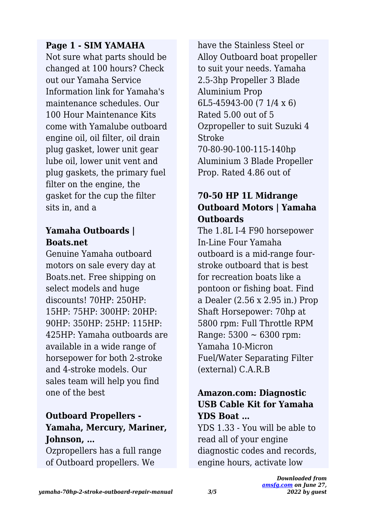## **Page 1 - SIM YAMAHA**

Not sure what parts should be changed at 100 hours? Check out our Yamaha Service Information link for Yamaha's maintenance schedules. Our 100 Hour Maintenance Kits come with Yamalube outboard engine oil, oil filter, oil drain plug gasket, lower unit gear lube oil, lower unit vent and plug gaskets, the primary fuel filter on the engine, the gasket for the cup the filter sits in, and a

## **Yamaha Outboards | Boats.net**

Genuine Yamaha outboard motors on sale every day at Boats.net. Free shipping on select models and huge discounts! 70HP: 250HP: 15HP: 75HP: 300HP: 20HP: 90HP: 350HP: 25HP: 115HP: 425HP: Yamaha outboards are available in a wide range of horsepower for both 2-stroke and 4-stroke models. Our sales team will help you find one of the best

## **Outboard Propellers - Yamaha, Mercury, Mariner, Johnson, …**

Ozpropellers has a full range of Outboard propellers. We

have the Stainless Steel or Alloy Outboard boat propeller to suit your needs. Yamaha 2.5-3hp Propeller 3 Blade Aluminium Prop 6L5-45943-00 (7 1/4 x 6) Rated 5.00 out of 5 Ozpropeller to suit Suzuki 4 Stroke 70-80-90-100-115-140hp Aluminium 3 Blade Propeller Prop. Rated 4.86 out of

## **70-50 HP 1L Midrange Outboard Motors | Yamaha Outboards**

The 1.8L I-4 F90 horsepower In-Line Four Yamaha outboard is a mid-range fourstroke outboard that is best for recreation boats like a pontoon or fishing boat. Find a Dealer (2.56 x 2.95 in.) Prop Shaft Horsepower: 70hp at 5800 rpm: Full Throttle RPM Range:  $5300 \sim 6300$  rpm: Yamaha 10-Micron Fuel/Water Separating Filter (external) C.A.R.B

## **Amazon.com: Diagnostic USB Cable Kit for Yamaha YDS Boat …**

YDS 1.33 - You will be able to read all of your engine diagnostic codes and records, engine hours, activate low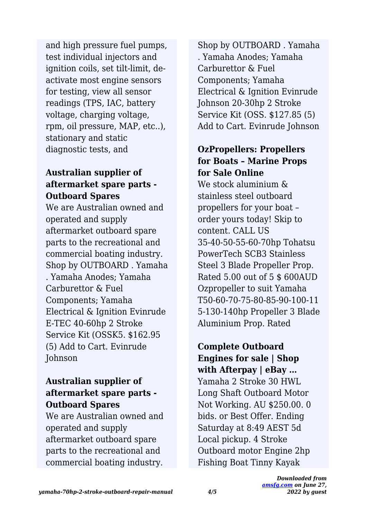and high pressure fuel pumps, test individual injectors and ignition coils, set tilt-limit, deactivate most engine sensors for testing, view all sensor readings (TPS, IAC, battery voltage, charging voltage, rpm, oil pressure, MAP, etc..), stationary and static diagnostic tests, and

## **Australian supplier of aftermarket spare parts - Outboard Spares**

We are Australian owned and operated and supply aftermarket outboard spare parts to the recreational and commercial boating industry. Shop by OUTBOARD . Yamaha . Yamaha Anodes; Yamaha Carburettor & Fuel Components; Yamaha Electrical & Ignition Evinrude E-TEC 40-60hp 2 Stroke Service Kit (OSSK5. \$162.95 (5) Add to Cart. Evinrude Johnson

## **Australian supplier of aftermarket spare parts - Outboard Spares**

We are Australian owned and operated and supply aftermarket outboard spare parts to the recreational and commercial boating industry.

Shop by OUTBOARD . Yamaha . Yamaha Anodes; Yamaha Carburettor & Fuel Components; Yamaha Electrical & Ignition Evinrude Johnson 20-30hp 2 Stroke Service Kit (OSS. \$127.85 (5) Add to Cart. Evinrude Johnson

## **OzPropellers: Propellers for Boats – Marine Props for Sale Online**

We stock aluminium & stainless steel outboard propellers for your boat – order yours today! Skip to content. CALL US 35-40-50-55-60-70hp Tohatsu PowerTech SCB3 Stainless Steel 3 Blade Propeller Prop. Rated 5.00 out of 5 \$ 600AUD Ozpropeller to suit Yamaha T50-60-70-75-80-85-90-100-11 5-130-140hp Propeller 3 Blade Aluminium Prop. Rated

**Complete Outboard Engines for sale | Shop with Afterpay | eBay …**

Yamaha 2 Stroke 30 HWL Long Shaft Outboard Motor Not Working. AU \$250.00. 0 bids. or Best Offer. Ending Saturday at 8:49 AEST 5d Local pickup. 4 Stroke Outboard motor Engine 2hp Fishing Boat Tinny Kayak